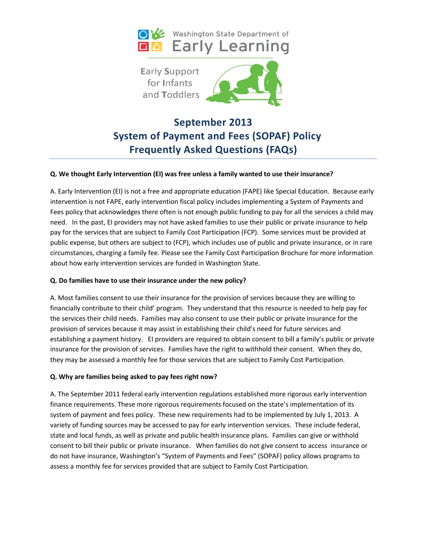



# **September 2013 System of Payment and Fees (SOPAF) Policy Frequently Asked Questions (FAQs)**

#### **Q. We thought Early Intervention (EI) was free unless a family wanted to use their insurance?**

A. Early Intervention (EI) is not a free and appropriate education (FAPE) like Special Education. Because early intervention is not FAPE, early intervention fiscal policy includes implementing a System of Payments and Fees policy that acknowledges there often is not enough public funding to pay for all the services a child may need. In the past, EI providers may not have asked families to use their public or private insurance to help pay for the services that are subject to Family Cost Participation (FCP). Some services must be provided at public expense, but others are subject to (FCP), which includes use of public and private insurance, or in rare circumstances, charging a family fee. Please see the Family Cost Participation Brochure for more information about how early intervention services are funded in Washington State.

#### **Q. Do families have to use their insurance under the new policy?**

A. Most families consent to use their insurance for the provision of services because they are willing to financially contribute to their child' program. They understand that this resource is needed to help pay for the services their child needs. Families may also consent to use their public or private insurance for the provision of services because it may assist in establishing their child's need for future services and establishing a payment history. EI providers are required to obtain consent to bill a family's public or private insurance for the provision of services. Families have the right to withhold their consent. When they do, they may be assessed a monthly fee for those services that are subject to Family Cost Participation.

## **Q. Why are families being asked to pay fees right now?**

A. The September 2011 federal early intervention regulations established more rigorous early intervention finance requirements. These more rigorous requirements focused on the state's implementation of its system of payment and fees policy. These new requirements had to be implemented by July 1, 2013. A variety of funding sources may be accessed to pay for early intervention services. These include federal, state and local funds, as well as private and public health insurance plans. Families can give or withhold consent to bill their public or private insurance. When families do not give consent to access insurance or do not have insurance, Washington's "System of Payments and Fees" (SOPAF) policy allows programs to assess a monthly fee for services provided that are subject to Family Cost Participation.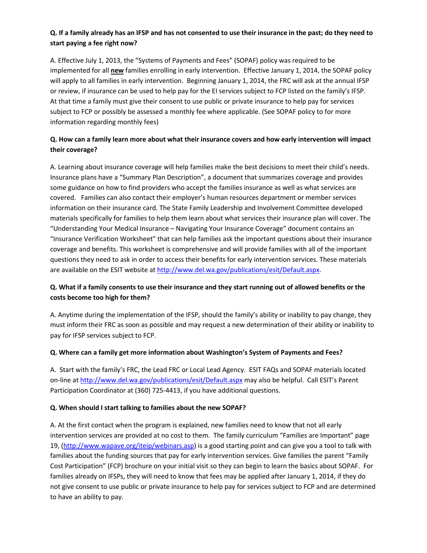# **Q. If a family already has an IFSP and has not consented to use their insurance in the past; do they need to start paying a fee right now?**

A. Effective July 1, 2013, the "Systems of Payments and Fees" (SOPAF) policy was required to be implemented for all **new** families enrolling in early intervention. Effective January 1, 2014, the SOPAF policy will apply to all families in early intervention. Beginning January 1, 2014, the FRC will ask at the annual IFSP or review, if insurance can be used to help pay for the EI services subject to FCP listed on the family's IFSP. At that time a family must give their consent to use public or private insurance to help pay for services subject to FCP or possibly be assessed a monthly fee where applicable. (See SOPAF policy to for more information regarding monthly fees)

## **Q. How can a family learn more about what their insurance covers and how early intervention will impact their coverage?**

A. Learning about insurance coverage will help families make the best decisions to meet their child's needs. Insurance plans have a "Summary Plan Description", a document that summarizes coverage and provides some guidance on how to find providers who accept the families insurance as well as what services are covered. Families can also contact their employer's human resources department or member services information on their insurance card. The State Family Leadership and Involvement Committee developed materials specifically for families to help them learn about what services their insurance plan will cover. The "Understanding Your Medical Insurance – Navigating Your Insurance Coverage" document contains an "Insurance Verification Worksheet" that can help families ask the important questions about their insurance coverage and benefits. This worksheet is comprehensive and will provide families with all of the important questions they need to ask in order to access their benefits for early intervention services. These materials are available on the ESIT website a[t http://www.del.wa.gov/publications/esit/Default.aspx.](http://www.del.wa.gov/publications/esit/Default.aspx)

# **Q. What if a family consents to use their insurance and they start running out of allowed benefits or the costs become too high for them?**

A. Anytime during the implementation of the IFSP, should the family's ability or inability to pay change, they must inform their FRC as soon as possible and may request a new determination of their ability or inability to pay for IFSP services subject to FCP.

## **Q. Where can a family get more information about Washington's System of Payments and Fees?**

A. Start with the family's FRC, the Lead FRC or Local Lead Agency. ESIT FAQs and SOPAF materials located on-line at <http://www.del.wa.gov/publications/esit/Default.aspx> may also be helpful. Call ESIT's Parent Participation Coordinator at (360) 725-4413, if you have additional questions.

## **Q. When should I start talking to families about the new SOPAF?**

A. At the first contact when the program is explained, new families need to know that not all early intervention services are provided at no cost to them. The family curriculum "Families are Important" page 19, [\(http://www.wapave.org/iteip/webinars.asp\)](http://www.wapave.org/iteip/webinars.asp) is a good starting point and can give you a tool to talk with families about the funding sources that pay for early intervention services. Give families the parent "Family Cost Participation" (FCP) brochure on your initial visit so they can begin to learn the basics about SOPAF. For families already on IFSPs, they will need to know that fees may be applied after January 1, 2014, if they do not give consent to use public or private insurance to help pay for services subject to FCP and are determined to have an ability to pay.